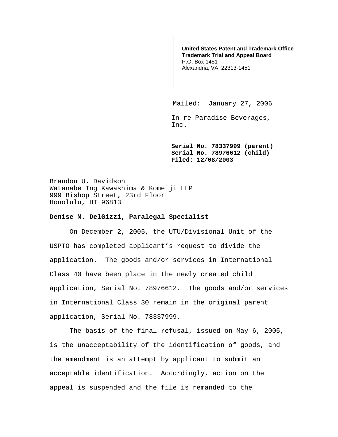**United States Patent and Trademark Office Trademark Trial and Appeal Board**  P.O. Box 1451 Alexandria, VA 22313-1451

Mailed: January 27, 2006

In re Paradise Beverages, Inc.

**Serial No. 78337999 (parent) Serial No. 78976612 (child) Filed: 12/08/2003** 

Brandon U. Davidson Watanabe Ing Kawashima & Komeiji LLP 999 Bishop Street, 23rd Floor Honolulu, HI 96813

## **Denise M. DelGizzi, Paralegal Specialist**

On December 2, 2005, the UTU/Divisional Unit of the USPTO has completed applicant's request to divide the application. The goods and/or services in International Class 40 have been place in the newly created child application, Serial No. 78976612. The goods and/or services in International Class 30 remain in the original parent application, Serial No. 78337999.

 The basis of the final refusal, issued on May 6, 2005, is the unacceptability of the identification of goods, and the amendment is an attempt by applicant to submit an acceptable identification. Accordingly, action on the appeal is suspended and the file is remanded to the